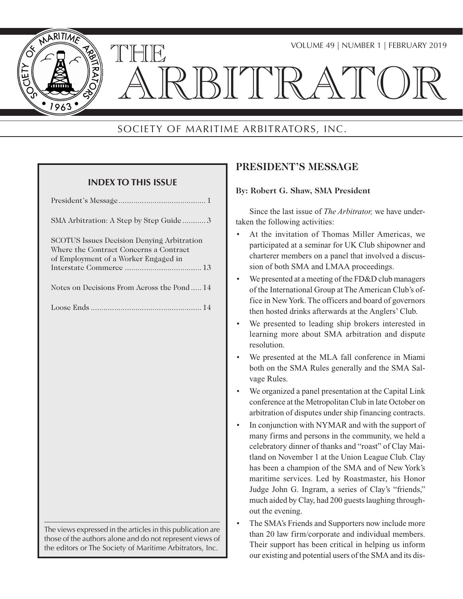

# SOCIETY OF MARITIME ARBITRATORS, INC.

| <b>INDEX TO THIS ISSUE</b>                                                                                                                                                          |
|-------------------------------------------------------------------------------------------------------------------------------------------------------------------------------------|
|                                                                                                                                                                                     |
| SMA Arbitration: A Step by Step Guide3                                                                                                                                              |
| SCOTUS Issues Decision Denying Arbitration<br>Where the Contract Concerns a Contract<br>of Employment of a Worker Engaged in                                                        |
| Notes on Decisions From Across the Pond 14                                                                                                                                          |
|                                                                                                                                                                                     |
|                                                                                                                                                                                     |
|                                                                                                                                                                                     |
|                                                                                                                                                                                     |
|                                                                                                                                                                                     |
|                                                                                                                                                                                     |
|                                                                                                                                                                                     |
|                                                                                                                                                                                     |
|                                                                                                                                                                                     |
|                                                                                                                                                                                     |
|                                                                                                                                                                                     |
| The views expressed in the articles in this publication are<br>those of the authors alone and do not represent views of<br>the editors or The Society of Maritime Arbitrators, Inc. |

# **PRESIDENT'S MESSAGE**

### **By: Robert G. Shaw, SMA President**

Since the last issue of *The Arbitrator,* we have undertaken the following activities:

- At the invitation of Thomas Miller Americas, we participated at a seminar for UK Club shipowner and charterer members on a panel that involved a discussion of both SMA and LMAA proceedings.
- We presented at a meeting of the FD&D club managers of the International Group at The American Club's office in New York. The officers and board of governors then hosted drinks afterwards at the Anglers' Club.
- We presented to leading ship brokers interested in learning more about SMA arbitration and dispute resolution.
- We presented at the MLA fall conference in Miami both on the SMA Rules generally and the SMA Salvage Rules.
- We organized a panel presentation at the Capital Link conference at the Metropolitan Club in late October on arbitration of disputes under ship financing contracts.
- In conjunction with NYMAR and with the support of many firms and persons in the community, we held a celebratory dinner of thanks and "roast" of Clay Maitland on November 1 at the Union League Club. Clay has been a champion of the SMA and of New York's maritime services. Led by Roastmaster, his Honor Judge John G. Ingram, a series of Clay's "friends," much aided by Clay, had 200 guests laughing throughout the evening.
- The SMA's Friends and Supporters now include more than 20 law firm/corporate and individual members. Their support has been critical in helping us inform our existing and potential users of the SMA and its dis-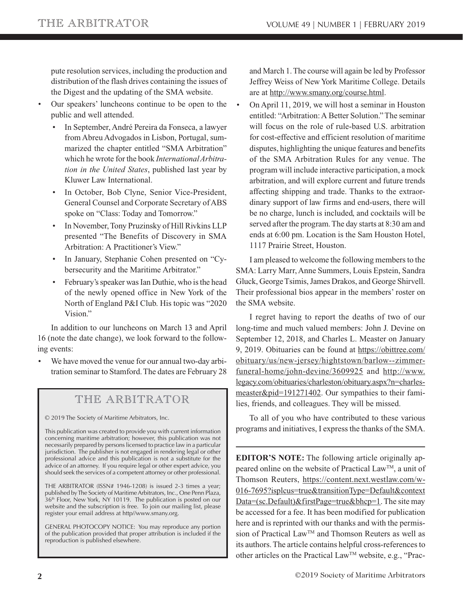pute resolution services, including the production and distribution of the flash drives containing the issues of the Digest and the updating of the SMA website.

- Our speakers' luncheons continue to be open to the public and well attended.
	- In September, André Pereira da Fonseca, a lawyer from Abreu Advogados in Lisbon, Portugal, summarized the chapter entitled "SMA Arbitration" which he wrote for the book *International Arbitration in the United States*, published last year by Kluwer Law International.
	- In October, Bob Clyne, Senior Vice-President, General Counsel and Corporate Secretary of ABS spoke on "Class: Today and Tomorrow."
	- In November, Tony Pruzinsky of Hill Rivkins LLP presented "The Benefits of Discovery in SMA Arbitration: A Practitioner's View."
	- In January, Stephanie Cohen presented on "Cybersecurity and the Maritime Arbitrator."
	- February's speaker was Ian Duthie, who is the head of the newly opened office in New York of the North of England P&I Club. His topic was "2020 Vision."

In addition to our luncheons on March 13 and April 16 (note the date change), we look forward to the following events:

• We have moved the venue for our annual two-day arbitration seminar to Stamford. The dates are February 28

# THE ARBITRATOR

© 2019 The Society of Maritime Arbitrators, Inc.

This publication was created to provide you with current information concerning maritime arbitration; however, this publication was not necessarily prepared by persons licensed to practice law in a particular jurisdiction. The publisher is not engaged in rendering legal or other professional advice and this publication is not a substitute for the advice of an attorney. If you require legal or other expert advice, you should seek the services of a competent attorney or other professional.

THE ARBITRATOR (ISSN# 1946-1208) is issued 2-3 times a year; published by The Society of Maritime Arbitrators, Inc., One Penn Plaza,  $36<sup>th</sup>$  Floor, New York, NY 10119. The publication is posted on our website and the subscription is free. To join our mailing list, please register your email address at http//www.smany.org.

GENERAL PHOTOCOPY NOTICE: You may reproduce any portion of the publication provided that proper attribution is included if the reproduction is published elsewhere.

and March 1. The course will again be led by Professor Jeffrey Weiss of New York Maritime College. Details are a[t http://www.smany.org/course.html.](http://www.smany.org/course.html)

• On April 11, 2019, we will host a seminar in Houston entitled: "Arbitration: A Better Solution." The seminar will focus on the role of rule-based U.S. arbitration for cost-effective and efficient resolution of maritime disputes, highlighting the unique features and benefits of the SMA Arbitration Rules for any venue. The program will include interactive participation, a mock arbitration, and will explore current and future trends affecting shipping and trade. Thanks to the extraordinary support of law firms and end-users, there will be no charge, lunch is included, and cocktails will be served after the program. The day starts at 8:30 am and ends at 6:00 pm. Location is the Sam Houston Hotel, 1117 Prairie Street, Houston.

I am pleased to welcome the following members to the SMA: Larry Marr, Anne Summers, Louis Epstein, Sandra Gluck, George Tsimis, James Drakos, and George Shirvell. Their professional bios appear in the members' roster on the SMA website.

I regret having to report the deaths of two of our long-time and much valued members: John J. Devine on September 12, 2018, and Charles L. Measter on January 9, 2019. Obituaries can be found at https://obittree.com/ [obituary/us/new-jersey/hightstown/barlow--zimmer](https://obittree.com/obituary/us/new-jersey/hightstown/barlow--zimmer-funeral-home/john-devine/3609925)funeral-home/john-devine/3609925 and http://www. legacy.com/obituaries/charleston/obituary.aspx?n=charles[measter&pid=191271402. Our sympathies to their fami](http://www.legacy.com/obituaries/charleston/obituary.aspx?n=charles-measter&pid=191271402)lies, friends, and colleagues. They will be missed.

To all of you who have contributed to these various programs and initiatives, I express the thanks of the SMA.

**EDITOR'S NOTE:** The following article originally appeared online on the website of Practical LawTM, a unit of Thomson Reuters, https://content.next.westlaw.com/w-016-7695?isplcus=true&transitionType=Default&context Data=(sc.Default)&firstPage=true&bhcp=1. The site may be accessed for a fee. It has been modified for publication here and is reprinted with our thanks and with the permission of Practical Law<sup>TM</sup> and Thomson Reuters as well as its authors. The article contains helpful cross-references to other articles on the Practical LawTM website, e.g., "Prac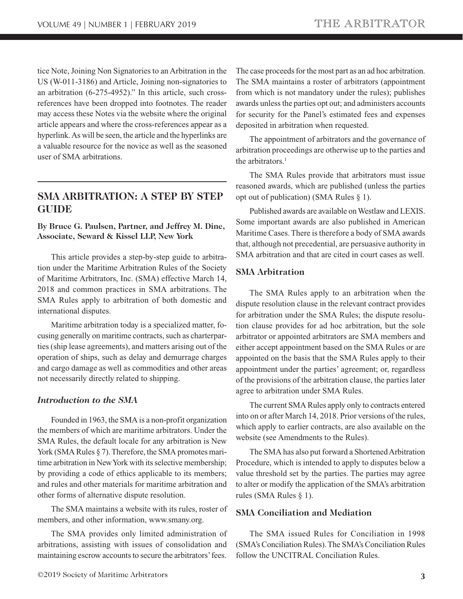<span id="page-2-0"></span>tice Note, Joining Non Signatories to an Arbitration in the US (W-011-3186) and Article, Joining non-signatories to an arbitration (6-275-4952)." In this article, such crossreferences have been dropped into footnotes. The reader may access these Notes via the website where the original article appears and where the cross-references appear as a hyperlink. As will be seen, the article and the hyperlinks are a valuable resource for the novice as well as the seasoned user of SMA arbitrations.

# **SMA ARBITRATION: A STEP BY STEP GUIDE**

### **By Bruce G. Paulsen, Partner, and Jeffrey M. Dine, Associate, Seward & Kissel LLP, New York**

This article provides a step-by-step guide to arbitration under the Maritime Arbitration Rules of the Society of Maritime Arbitrators, Inc. (SMA) effective March 14, 2018 and common practices in SMA arbitrations. The SMA Rules apply to arbitration of both domestic and international disputes.

Maritime arbitration today is a specialized matter, focusing generally on maritime contracts, such as charterparties (ship lease agreements), and matters arising out of the operation of ships, such as delay and demurrage charges and cargo damage as well as commodities and other areas not necessarily directly related to shipping.

### *Introduction to the SMA*

Founded in 1963, the SMA is a non-profit organization the members of which are maritime arbitrators. Under the SMA Rules, the default locale for any arbitration is New York (SMA Rules § 7). Therefore, the SMA promotes maritime arbitration in New York with its selective membership; by providing a code of ethics applicable to its members; and rules and other materials for maritime arbitration and other forms of alternative dispute resolution.

The SMA maintains a website with its rules, roster of members, and other information, www.smany.org.

The SMA provides only limited administration of arbitrations, assisting with issues of consolidation and maintaining escrow accounts to secure the arbitrators' fees.

The case proceeds for the most part as an ad hoc arbitration. The SMA maintains a roster of arbitrators (appointment from which is not mandatory under the rules); publishes awards unless the parties opt out; and administers accounts for security for the Panel's estimated fees and expenses deposited in arbitration when requested.

The appointment of arbitrators and the governance of arbitration proceedings are otherwise up to the parties and the arbitrators. $<sup>1</sup>$ </sup>

The SMA Rules provide that arbitrators must issue reasoned awards, which are published (unless the parties opt out of publication) (SMA Rules § 1).

Published awards are available on Westlaw and LEXIS. Some important awards are also published in American Maritime Cases. There is therefore a body of SMA awards that, although not precedential, are persuasive authority in SMA arbitration and that are cited in court cases as well.

### **SMA Arbitration**

The SMA Rules apply to an arbitration when the dispute resolution clause in the relevant contract provides for arbitration under the SMA Rules; the dispute resolution clause provides for ad hoc arbitration, but the sole arbitrator or appointed arbitrators are SMA members and either accept appointment based on the SMA Rules or are appointed on the basis that the SMA Rules apply to their appointment under the parties' agreement; or, regardless of the provisions of the arbitration clause, the parties later agree to arbitration under SMA Rules.

The current SMA Rules apply only to contracts entered into on or after March 14, 2018. Prior versions of the rules, which apply to earlier contracts, are also available on the website (see Amendments to the Rules).

The SMA has also put forward a Shortened Arbitration Procedure, which is intended to apply to disputes below a value threshold set by the parties. The parties may agree to alter or modify the application of the SMA's arbitration rules (SMA Rules § 1).

## **SMA Conciliation and Mediation**

The SMA issued Rules for Conciliation in 1998 (SMA's Conciliation Rules). The SMA's Conciliation Rules follow the UNCITRAL Conciliation Rules.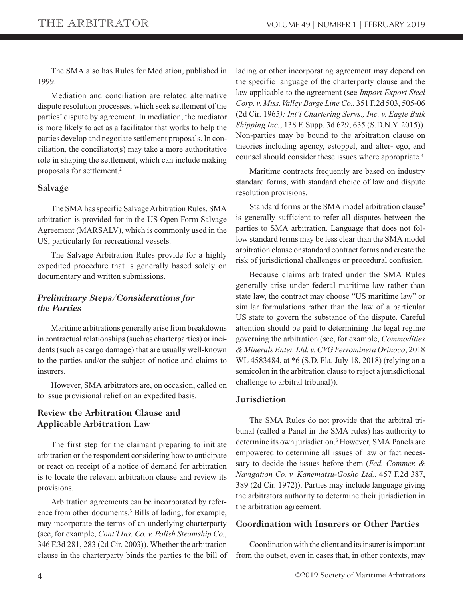The SMA also has Rules for Mediation, published in 1999.

Mediation and conciliation are related alternative dispute resolution processes, which seek settlement of the parties' dispute by agreement. In mediation, the mediator is more likely to act as a facilitator that works to help the parties develop and negotiate settlement proposals. In conciliation, the conciliator(s) may take a more authoritative role in shaping the settlement, which can include making proposals for settlement.2

### **Salvage**

The SMA has specific Salvage Arbitration Rules. SMA arbitration is provided for in the US Open Form Salvage Agreement (MARSALV), which is commonly used in the US, particularly for recreational vessels.

The Salvage Arbitration Rules provide for a highly expedited procedure that is generally based solely on documentary and written submissions.

## *Preliminary Steps/Considerations for the Parties*

Maritime arbitrations generally arise from breakdowns in contractual relationships (such as charterparties) or incidents (such as cargo damage) that are usually well-known to the parties and/or the subject of notice and claims to insurers.

However, SMA arbitrators are, on occasion, called on to issue provisional relief on an expedited basis.

### **Review the Arbitration Clause and Applicable Arbitration Law**

The first step for the claimant preparing to initiate arbitration or the respondent considering how to anticipate or react on receipt of a notice of demand for arbitration is to locate the relevant arbitration clause and review its provisions.

Arbitration agreements can be incorporated by reference from other documents.<sup>3</sup> Bills of lading, for example, may incorporate the terms of an underlying charterparty (see, for example, *Cont'l Ins. Co. v. Polish Steamship Co.*, 346 F.3d 281, 283 (2d Cir. 2003)). Whether the arbitration clause in the charterparty binds the parties to the bill of lading or other incorporating agreement may depend on the specific language of the charterparty clause and the law applicable to the agreement (see *Import Export Steel Corp. v. Miss. Valley Barge Line Co.*, 351 F.2d 503, 505-06 (2d Cir. 1965*); Int'l Chartering Servs., Inc. v. Eagle Bulk Shipping Inc.*, 138 F. Supp. 3d 629, 635 (S.D.N.Y. 2015)). Non-parties may be bound to the arbitration clause on theories including agency, estoppel, and alter- ego, and counsel should consider these issues where appropriate.<sup>4</sup>

Maritime contracts frequently are based on industry standard forms, with standard choice of law and dispute resolution provisions.

Standard forms or the SMA model arbitration clause<sup>5</sup> is generally sufficient to refer all disputes between the parties to SMA arbitration. Language that does not follow standard terms may be less clear than the SMA model arbitration clause or standard contract forms and create the risk of jurisdictional challenges or procedural confusion.

Because claims arbitrated under the SMA Rules generally arise under federal maritime law rather than state law, the contract may choose "US maritime law" or similar formulations rather than the law of a particular US state to govern the substance of the dispute. Careful attention should be paid to determining the legal regime governing the arbitration (see, for example, *Commodities & Minerals Enter. Ltd. v. CVG Ferrominera Orinoco*, 2018 WL 4583484, at \*6 (S.D. Fla. July 18, 2018) (relying on a semicolon in the arbitration clause to reject a jurisdictional challenge to arbitral tribunal)).

#### **Jurisdiction**

The SMA Rules do not provide that the arbitral tribunal (called a Panel in the SMA rules) has authority to determine its own jurisdiction.<sup>6</sup> However, SMA Panels are empowered to determine all issues of law or fact necessary to decide the issues before them (*Fed. Commer. & Navigation Co. v. Kanematsu-Gosho Ltd.*, 457 F.2d 387, 389 (2d Cir. 1972)). Parties may include language giving the arbitrators authority to determine their jurisdiction in the arbitration agreement.

### **Coordination with Insurers or Other Parties**

Coordination with the client and its insurer is important from the outset, even in cases that, in other contexts, may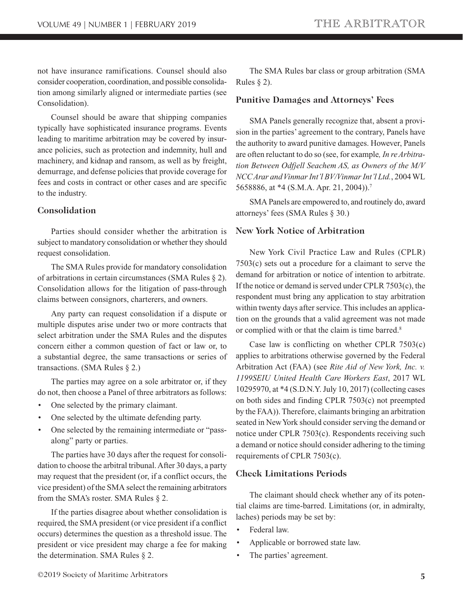not have insurance ramifications. Counsel should also consider cooperation, coordination, and possible consolidation among similarly aligned or intermediate parties (see Consolidation).

Counsel should be aware that shipping companies typically have sophisticated insurance programs. Events leading to maritime arbitration may be covered by insurance policies, such as protection and indemnity, hull and machinery, and kidnap and ransom, as well as by freight, demurrage, and defense policies that provide coverage for fees and costs in contract or other cases and are specific to the industry.

### **Consolidation**

Parties should consider whether the arbitration is subject to mandatory consolidation or whether they should request consolidation.

The SMA Rules provide for mandatory consolidation of arbitrations in certain circumstances (SMA Rules § 2). Consolidation allows for the litigation of pass-through claims between consignors, charterers, and owners.

Any party can request consolidation if a dispute or multiple disputes arise under two or more contracts that select arbitration under the SMA Rules and the disputes concern either a common question of fact or law or, to a substantial degree, the same transactions or series of transactions. (SMA Rules § 2.)

The parties may agree on a sole arbitrator or, if they do not, then choose a Panel of three arbitrators as follows:

- One selected by the primary claimant.
- One selected by the ultimate defending party.
- One selected by the remaining intermediate or "passalong" party or parties.

The parties have 30 days after the request for consolidation to choose the arbitral tribunal. After 30 days, a party may request that the president (or, if a conflict occurs, the vice president) of the SMA select the remaining arbitrators from the SMA's roster. SMA Rules § 2.

If the parties disagree about whether consolidation is required, the SMA president (or vice president if a conflict occurs) determines the question as a threshold issue. The president or vice president may charge a fee for making the determination. SMA Rules § 2.

The SMA Rules bar class or group arbitration (SMA Rules  $\S$  2).

#### **Punitive Damages and Attorneys' Fees**

SMA Panels generally recognize that, absent a provision in the parties' agreement to the contrary, Panels have the authority to award punitive damages. However, Panels are often reluctant to do so (see, for example*, In re Arbitration Between Odfjell Seachem AS, as Owners of the M/V NCC Arar and Vinmar Int'l BV/Vinmar Int'l Ltd.*, 2004 WL 5658886, at \*4 (S.M.A. Apr. 21, 2004)).7

SMA Panels are empowered to, and routinely do, award attorneys' fees (SMA Rules § 30.)

### **New York Notice of Arbitration**

New York Civil Practice Law and Rules (CPLR) 7503(c) sets out a procedure for a claimant to serve the demand for arbitration or notice of intention to arbitrate. If the notice or demand is served under CPLR 7503(c), the respondent must bring any application to stay arbitration within twenty days after service. This includes an application on the grounds that a valid agreement was not made or complied with or that the claim is time barred.<sup>8</sup>

Case law is conflicting on whether CPLR 7503(c) applies to arbitrations otherwise governed by the Federal Arbitration Act (FAA) (see *Rite Aid of New York, Inc. v. 1199SEIU United Health Care Workers East*, 2017 WL 10295970, at \*4 (S.D.N.Y. July 10, 2017) (collecting cases on both sides and finding CPLR 7503(c) not preempted by the FAA)). Therefore, claimants bringing an arbitration seated in New York should consider serving the demand or notice under CPLR 7503(c). Respondents receiving such a demand or notice should consider adhering to the timing requirements of CPLR 7503(c).

### **Check Limitations Periods**

The claimant should check whether any of its potential claims are time-barred. Limitations (or, in admiralty, laches) periods may be set by:

- Federal law.
- Applicable or borrowed state law.
- The parties' agreement.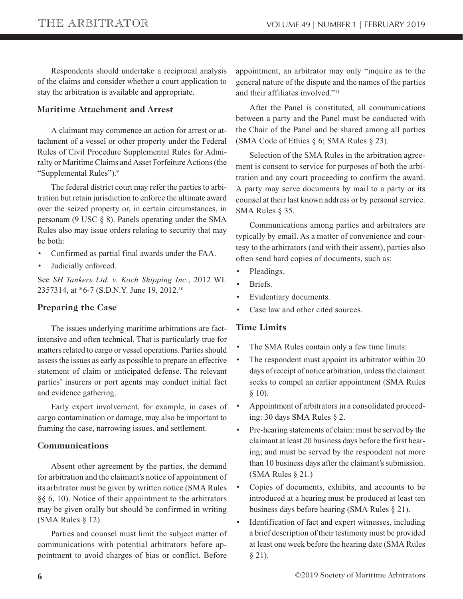Respondents should undertake a reciprocal analysis of the claims and consider whether a court application to stay the arbitration is available and appropriate.

### **Maritime Attachment and Arrest**

A claimant may commence an action for arrest or attachment of a vessel or other property under the Federal Rules of Civil Procedure Supplemental Rules for Admiralty or Maritime Claims and Asset Forfeiture Actions (the "Supplemental Rules").9

The federal district court may refer the parties to arbitration but retain jurisdiction to enforce the ultimate award over the seized property or, in certain circumstances, in personam (9 USC § 8). Panels operating under the SMA Rules also may issue orders relating to security that may be both:

- Confirmed as partial final awards under the FAA.
- Judicially enforced.

See *SH Tankers Ltd. v. Koch Shipping Inc.*, 2012 WL 2357314, at \*6-7 (S.D.N.Y. June 19, 2012.10

## **Preparing the Case**

The issues underlying maritime arbitrations are factintensive and often technical. That is particularly true for matters related to cargo or vessel operations. Parties should assess the issues as early as possible to prepare an effective statement of claim or anticipated defense. The relevant parties' insurers or port agents may conduct initial fact and evidence gathering.

Early expert involvement, for example, in cases of cargo contamination or damage, may also be important to framing the case, narrowing issues, and settlement.

### **Communications**

Absent other agreement by the parties, the demand for arbitration and the claimant's notice of appointment of its arbitrator must be given by written notice (SMA Rules §§ 6, 10). Notice of their appointment to the arbitrators may be given orally but should be confirmed in writing (SMA Rules § 12).

Parties and counsel must limit the subject matter of communications with potential arbitrators before appointment to avoid charges of bias or conflict. Before

appointment, an arbitrator may only "inquire as to the general nature of the dispute and the names of the parties and their affiliates involved."11

After the Panel is constituted, all communications between a party and the Panel must be conducted with the Chair of the Panel and be shared among all parties (SMA Code of Ethics § 6; SMA Rules § 23).

Selection of the SMA Rules in the arbitration agreement is consent to service for purposes of both the arbitration and any court proceeding to confirm the award. A party may serve documents by mail to a party or its counsel at their last known address or by personal service. SMA Rules § 35.

Communications among parties and arbitrators are typically by email. As a matter of convenience and courtesy to the arbitrators (and with their assent), parties also often send hard copies of documents, such as:

- Pleadings.
- Briefs.
- Evidentiary documents.
- Case law and other cited sources.

## **Time Limits**

- The SMA Rules contain only a few time limits:
- The respondent must appoint its arbitrator within 20 days of receipt of notice arbitration, unless the claimant seeks to compel an earlier appointment (SMA Rules  $§ 10$ .
- Appointment of arbitrators in a consolidated proceeding: 30 days SMA Rules § 2.
- Pre-hearing statements of claim: must be served by the claimant at least 20 business days before the first hearing; and must be served by the respondent not more than 10 business days after the claimant's submission. (SMA Rules § 21.)
- Copies of documents, exhibits, and accounts to be introduced at a hearing must be produced at least ten business days before hearing (SMA Rules § 21).
- Identification of fact and expert witnesses, including a brief description of their testimony must be provided at least one week before the hearing date (SMA Rules  $§ 21$ ).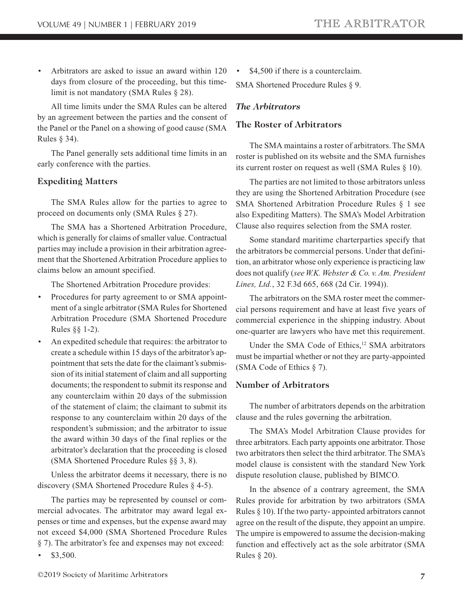• Arbitrators are asked to issue an award within 120 days from closure of the proceeding, but this timelimit is not mandatory (SMA Rules § 28).

All time limits under the SMA Rules can be altered by an agreement between the parties and the consent of the Panel or the Panel on a showing of good cause (SMA Rules § 34).

The Panel generally sets additional time limits in an early conference with the parties.

### **Expediting Matters**

The SMA Rules allow for the parties to agree to proceed on documents only (SMA Rules § 27).

The SMA has a Shortened Arbitration Procedure, which is generally for claims of smaller value. Contractual parties may include a provision in their arbitration agreement that the Shortened Arbitration Procedure applies to claims below an amount specified.

The Shortened Arbitration Procedure provides:

- Procedures for party agreement to or SMA appointment of a single arbitrator (SMA Rules for Shortened Arbitration Procedure (SMA Shortened Procedure Rules §§ 1-2).
- An expedited schedule that requires: the arbitrator to create a schedule within 15 days of the arbitrator's appointment that sets the date for the claimant's submission of its initial statement of claim and all supporting documents; the respondent to submit its response and any counterclaim within 20 days of the submission of the statement of claim; the claimant to submit its response to any counterclaim within 20 days of the respondent's submission; and the arbitrator to issue the award within 30 days of the final replies or the arbitrator's declaration that the proceeding is closed (SMA Shortened Procedure Rules §§ 3, 8).

Unless the arbitrator deems it necessary, there is no discovery (SMA Shortened Procedure Rules § 4-5).

The parties may be represented by counsel or commercial advocates. The arbitrator may award legal expenses or time and expenses, but the expense award may not exceed \$4,000 (SMA Shortened Procedure Rules § 7). The arbitrator's fee and expenses may not exceed:

• \$3,500.

\$4,500 if there is a counterclaim.

SMA Shortened Procedure Rules § 9.

## *The Arbitrators*

## **The Roster of Arbitrators**

The SMA maintains a roster of arbitrators. The SMA roster is published on its website and the SMA furnishes its current roster on request as well (SMA Rules § 10).

The parties are not limited to those arbitrators unless they are using the Shortened Arbitration Procedure (see SMA Shortened Arbitration Procedure Rules § 1 see also Expediting Matters). The SMA's Model Arbitration Clause also requires selection from the SMA roster.

Some standard maritime charterparties specify that the arbitrators be commercial persons. Under that definition, an arbitrator whose only experience is practicing law does not qualify (*see W.K. Webster & Co. v. Am. President Lines, Ltd.*, 32 F.3d 665, 668 (2d Cir. 1994)).

The arbitrators on the SMA roster meet the commercial persons requirement and have at least five years of commercial experience in the shipping industry. About one-quarter are lawyers who have met this requirement.

Under the SMA Code of Ethics,<sup>12</sup> SMA arbitrators must be impartial whether or not they are party-appointed (SMA Code of Ethics § 7).

## **Number of Arbitrators**

The number of arbitrators depends on the arbitration clause and the rules governing the arbitration.

The SMA's Model Arbitration Clause provides for three arbitrators. Each party appoints one arbitrator. Those two arbitrators then select the third arbitrator. The SMA's model clause is consistent with the standard New York dispute resolution clause, published by BIMCO.

In the absence of a contrary agreement, the SMA Rules provide for arbitration by two arbitrators (SMA Rules § 10). If the two party- appointed arbitrators cannot agree on the result of the dispute, they appoint an umpire. The umpire is empowered to assume the decision-making function and effectively act as the sole arbitrator (SMA Rules § 20).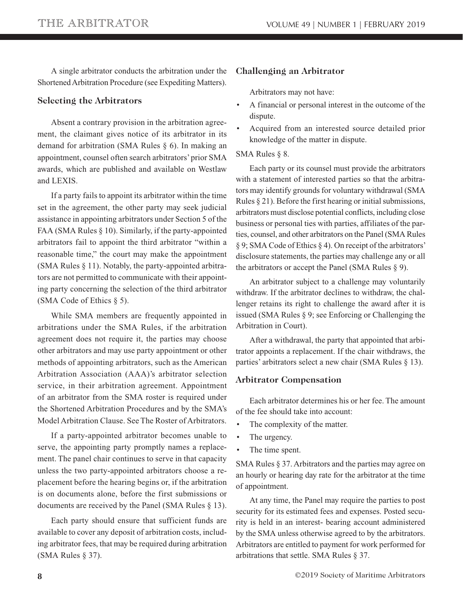A single arbitrator conducts the arbitration under the Shortened Arbitration Procedure (see Expediting Matters).

### **Selecting the Arbitrators**

Absent a contrary provision in the arbitration agreement, the claimant gives notice of its arbitrator in its demand for arbitration (SMA Rules § 6). In making an appointment, counsel often search arbitrators' prior SMA awards, which are published and available on Westlaw and LEXIS.

If a party fails to appoint its arbitrator within the time set in the agreement, the other party may seek judicial assistance in appointing arbitrators under Section 5 of the FAA (SMA Rules § 10). Similarly, if the party-appointed arbitrators fail to appoint the third arbitrator "within a reasonable time," the court may make the appointment (SMA Rules § 11). Notably, the party-appointed arbitrators are not permitted to communicate with their appointing party concerning the selection of the third arbitrator (SMA Code of Ethics § 5).

While SMA members are frequently appointed in arbitrations under the SMA Rules, if the arbitration agreement does not require it, the parties may choose other arbitrators and may use party appointment or other methods of appointing arbitrators, such as the American Arbitration Association (AAA)'s arbitrator selection service, in their arbitration agreement. Appointment of an arbitrator from the SMA roster is required under the Shortened Arbitration Procedures and by the SMA's Model Arbitration Clause. See The Roster of Arbitrators.

If a party-appointed arbitrator becomes unable to serve, the appointing party promptly names a replacement. The panel chair continues to serve in that capacity unless the two party-appointed arbitrators choose a replacement before the hearing begins or, if the arbitration is on documents alone, before the first submissions or documents are received by the Panel (SMA Rules § 13).

Each party should ensure that sufficient funds are available to cover any deposit of arbitration costs, including arbitrator fees, that may be required during arbitration (SMA Rules § 37).

### **Challenging an Arbitrator**

Arbitrators may not have:

- A financial or personal interest in the outcome of the dispute.
- Acquired from an interested source detailed prior knowledge of the matter in dispute.

### SMA Rules § 8.

Each party or its counsel must provide the arbitrators with a statement of interested parties so that the arbitrators may identify grounds for voluntary withdrawal (SMA Rules § 21). Before the first hearing or initial submissions, arbitrators must disclose potential conflicts, including close business or personal ties with parties, affiliates of the parties, counsel, and other arbitrators on the Panel (SMA Rules § 9; SMA Code of Ethics § 4). On receipt of the arbitrators' disclosure statements, the parties may challenge any or all the arbitrators or accept the Panel (SMA Rules  $\S$  9).

An arbitrator subject to a challenge may voluntarily withdraw. If the arbitrator declines to withdraw, the challenger retains its right to challenge the award after it is issued (SMA Rules § 9; see Enforcing or Challenging the Arbitration in Court).

After a withdrawal, the party that appointed that arbitrator appoints a replacement. If the chair withdraws, the parties' arbitrators select a new chair (SMA Rules § 13).

### **Arbitrator Compensation**

Each arbitrator determines his or her fee. The amount of the fee should take into account:

- The complexity of the matter.
- The urgency.
- The time spent.

SMA Rules § 37. Arbitrators and the parties may agree on an hourly or hearing day rate for the arbitrator at the time of appointment.

At any time, the Panel may require the parties to post security for its estimated fees and expenses. Posted security is held in an interest- bearing account administered by the SMA unless otherwise agreed to by the arbitrators. Arbitrators are entitled to payment for work performed for arbitrations that settle. SMA Rules § 37.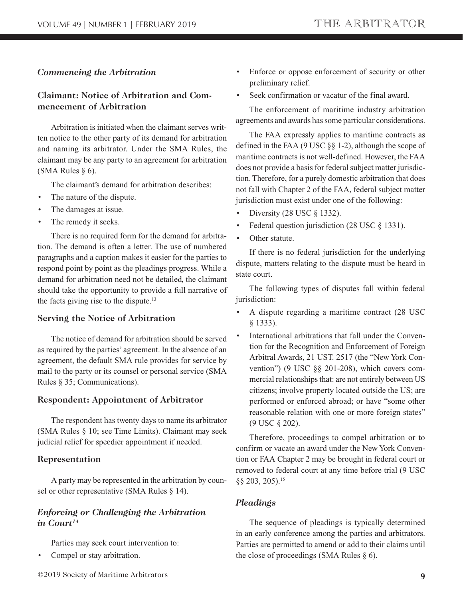### *Commencing the Arbitration*

### **Claimant: Notice of Arbitration and Commencement of Arbitration**

Arbitration is initiated when the claimant serves written notice to the other party of its demand for arbitration and naming its arbitrator. Under the SMA Rules, the claimant may be any party to an agreement for arbitration (SMA Rules § 6).

The claimant's demand for arbitration describes:

- The nature of the dispute.
- The damages at issue.
- The remedy it seeks.

There is no required form for the demand for arbitration. The demand is often a letter. The use of numbered paragraphs and a caption makes it easier for the parties to respond point by point as the pleadings progress. While a demand for arbitration need not be detailed, the claimant should take the opportunity to provide a full narrative of the facts giving rise to the dispute.<sup>13</sup>

#### **Serving the Notice of Arbitration**

The notice of demand for arbitration should be served as required by the parties' agreement. In the absence of an agreement, the default SMA rule provides for service by mail to the party or its counsel or personal service (SMA Rules § 35; Communications).

#### **Respondent: Appointment of Arbitrator**

The respondent has twenty days to name its arbitrator (SMA Rules § 10; see Time Limits). Claimant may seek judicial relief for speedier appointment if needed.

#### **Representation**

A party may be represented in the arbitration by counsel or other representative (SMA Rules § 14).

### *Enforcing or Challenging the Arbitration in Court14*

Parties may seek court intervention to:

- Compel or stay arbitration.
- ©2019 Society of Maritime Arbitrators **9**
- Enforce or oppose enforcement of security or other preliminary relief.
- Seek confirmation or vacatur of the final award.

The enforcement of maritime industry arbitration agreements and awards has some particular considerations.

The FAA expressly applies to maritime contracts as defined in the FAA (9 USC §§ 1-2), although the scope of maritime contracts is not well-defined. However, the FAA does not provide a basis for federal subject matter jurisdiction. Therefore, for a purely domestic arbitration that does not fall with Chapter 2 of the FAA, federal subject matter jurisdiction must exist under one of the following:

- Diversity (28 USC § 1332).
- Federal question jurisdiction (28 USC  $\S$  1331).
- Other statute.

If there is no federal jurisdiction for the underlying dispute, matters relating to the dispute must be heard in state court.

The following types of disputes fall within federal jurisdiction:

- A dispute regarding a maritime contract (28 USC § 1333).
- International arbitrations that fall under the Convention for the Recognition and Enforcement of Foreign Arbitral Awards, 21 UST. 2517 (the "New York Convention") (9 USC §§ 201-208), which covers commercial relationships that: are not entirely between US citizens; involve property located outside the US; are performed or enforced abroad; or have "some other reasonable relation with one or more foreign states" (9 USC § 202).

Therefore, proceedings to compel arbitration or to confirm or vacate an award under the New York Convention or FAA Chapter 2 may be brought in federal court or removed to federal court at any time before trial (9 USC §§ 203, 205).<sup>15</sup>

#### *Pleadings*

The sequence of pleadings is typically determined in an early conference among the parties and arbitrators. Parties are permitted to amend or add to their claims until the close of proceedings (SMA Rules § 6).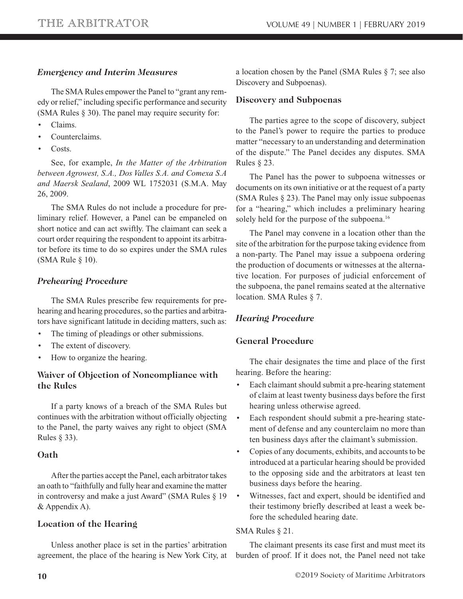## *Emergency and Interim Measures*

The SMA Rules empower the Panel to "grant any remedy or relief," including specific performance and security (SMA Rules § 30). The panel may require security for:

- Claims.
- Counterclaims.
- Costs.

See, for example, *In the Matter of the Arbitration between Agrowest, S.A., Dos Valles S.A. and Comexa S.A and Maersk Sealand*, 2009 WL 1752031 (S.M.A. May 26, 2009.

The SMA Rules do not include a procedure for preliminary relief. However, a Panel can be empaneled on short notice and can act swiftly. The claimant can seek a court order requiring the respondent to appoint its arbitrator before its time to do so expires under the SMA rules (SMA Rule § 10).

## *Prehearing Procedure*

The SMA Rules prescribe few requirements for prehearing and hearing procedures, so the parties and arbitrators have significant latitude in deciding matters, such as:

- The timing of pleadings or other submissions.
- The extent of discovery.
- How to organize the hearing.

## **Waiver of Objection of Noncompliance with the Rules**

If a party knows of a breach of the SMA Rules but continues with the arbitration without officially objecting to the Panel, the party waives any right to object (SMA Rules § 33).

## **Oath**

After the parties accept the Panel, each arbitrator takes an oath to "faithfully and fully hear and examine the matter in controversy and make a just Award" (SMA Rules § 19 & Appendix A).

## **Location of the Hearing**

Unless another place is set in the parties' arbitration agreement, the place of the hearing is New York City, at a location chosen by the Panel (SMA Rules § 7; see also Discovery and Subpoenas).

### **Discovery and Subpoenas**

The parties agree to the scope of discovery, subject to the Panel's power to require the parties to produce matter "necessary to an understanding and determination of the dispute." The Panel decides any disputes. SMA Rules § 23.

The Panel has the power to subpoena witnesses or documents on its own initiative or at the request of a party (SMA Rules § 23). The Panel may only issue subpoenas for a "hearing," which includes a preliminary hearing solely held for the purpose of the subpoena.<sup>16</sup>

The Panel may convene in a location other than the site of the arbitration for the purpose taking evidence from a non-party. The Panel may issue a subpoena ordering the production of documents or witnesses at the alternative location. For purposes of judicial enforcement of the subpoena, the panel remains seated at the alternative location. SMA Rules § 7.

## *Hearing Procedure*

## **General Procedure**

The chair designates the time and place of the first hearing. Before the hearing:

- Each claimant should submit a pre-hearing statement of claim at least twenty business days before the first hearing unless otherwise agreed.
- Each respondent should submit a pre-hearing statement of defense and any counterclaim no more than ten business days after the claimant's submission.
- Copies of any documents, exhibits, and accounts to be introduced at a particular hearing should be provided to the opposing side and the arbitrators at least ten business days before the hearing.
- Witnesses, fact and expert, should be identified and their testimony briefly described at least a week before the scheduled hearing date.

### SMA Rules § 21.

The claimant presents its case first and must meet its burden of proof. If it does not, the Panel need not take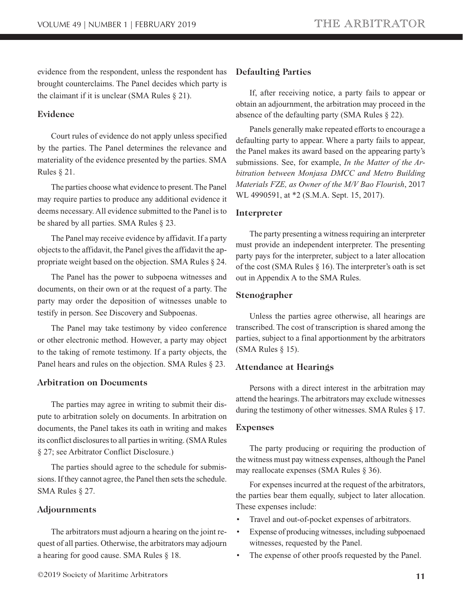evidence from the respondent, unless the respondent has brought counterclaims. The Panel decides which party is the claimant if it is unclear (SMA Rules  $\S 21$ ).

#### **Evidence**

Court rules of evidence do not apply unless specified by the parties. The Panel determines the relevance and materiality of the evidence presented by the parties. SMA Rules § 21.

The parties choose what evidence to present. The Panel may require parties to produce any additional evidence it deems necessary. All evidence submitted to the Panel is to be shared by all parties. SMA Rules § 23.

The Panel may receive evidence by affidavit. If a party objects to the affidavit, the Panel gives the affidavit the appropriate weight based on the objection. SMA Rules § 24.

The Panel has the power to subpoena witnesses and documents, on their own or at the request of a party. The party may order the deposition of witnesses unable to testify in person. See Discovery and Subpoenas.

The Panel may take testimony by video conference or other electronic method. However, a party may object to the taking of remote testimony. If a party objects, the Panel hears and rules on the objection. SMA Rules § 23.

### **Arbitration on Documents**

The parties may agree in writing to submit their dispute to arbitration solely on documents. In arbitration on documents, the Panel takes its oath in writing and makes its conflict disclosures to all parties in writing. (SMA Rules § 27; see Arbitrator Conflict Disclosure.)

The parties should agree to the schedule for submissions. If they cannot agree, the Panel then sets the schedule. SMA Rules § 27.

#### **Adjournments**

The arbitrators must adjourn a hearing on the joint request of all parties. Otherwise, the arbitrators may adjourn a hearing for good cause. SMA Rules § 18.

#### **Defaulting Parties**

If, after receiving notice, a party fails to appear or obtain an adjournment, the arbitration may proceed in the absence of the defaulting party (SMA Rules § 22).

Panels generally make repeated efforts to encourage a defaulting party to appear. Where a party fails to appear, the Panel makes its award based on the appearing party's submissions. See, for example, *In the Matter of the Arbitration between Monjasa DMCC and Metro Building Materials FZE, as Owner of the M/V Bao Flourish*, 2017 WL 4990591, at \*2 (S.M.A. Sept. 15, 2017).

#### **Interpreter**

The party presenting a witness requiring an interpreter must provide an independent interpreter. The presenting party pays for the interpreter, subject to a later allocation of the cost (SMA Rules § 16). The interpreter's oath is set out in Appendix A to the SMA Rules.

#### **Stenographer**

Unless the parties agree otherwise, all hearings are transcribed. The cost of transcription is shared among the parties, subject to a final apportionment by the arbitrators (SMA Rules § 15).

#### **Attendance at Hearings**

Persons with a direct interest in the arbitration may attend the hearings. The arbitrators may exclude witnesses during the testimony of other witnesses. SMA Rules § 17.

#### **Expenses**

The party producing or requiring the production of the witness must pay witness expenses, although the Panel may reallocate expenses (SMA Rules § 36).

For expenses incurred at the request of the arbitrators, the parties bear them equally, subject to later allocation. These expenses include:

- Travel and out-of-pocket expenses of arbitrators.
- Expense of producing witnesses, including subpoenaed witnesses, requested by the Panel.
- The expense of other proofs requested by the Panel.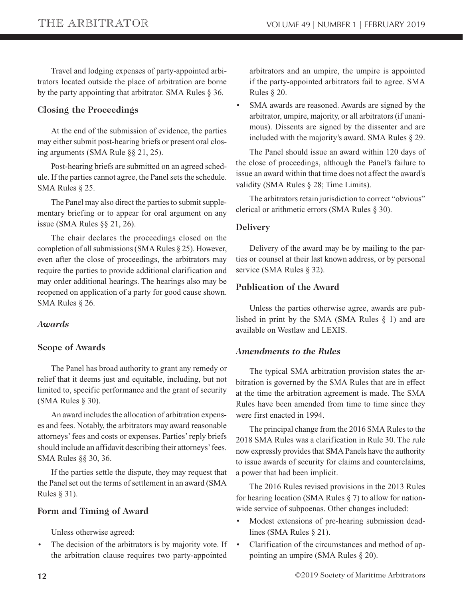Travel and lodging expenses of party-appointed arbitrators located outside the place of arbitration are borne by the party appointing that arbitrator. SMA Rules § 36.

## **Closing the Proceedings**

At the end of the submission of evidence, the parties may either submit post-hearing briefs or present oral closing arguments (SMA Rule §§ 21, 25).

Post-hearing briefs are submitted on an agreed schedule. If the parties cannot agree, the Panel sets the schedule. SMA Rules § 25.

The Panel may also direct the parties to submit supplementary briefing or to appear for oral argument on any issue (SMA Rules §§ 21, 26).

The chair declares the proceedings closed on the completion of all submissions (SMA Rules § 25). However, even after the close of proceedings, the arbitrators may require the parties to provide additional clarification and may order additional hearings. The hearings also may be reopened on application of a party for good cause shown. SMA Rules § 26.

## *Awards*

## **Scope of Awards**

The Panel has broad authority to grant any remedy or relief that it deems just and equitable, including, but not limited to, specific performance and the grant of security (SMA Rules § 30).

An award includes the allocation of arbitration expenses and fees. Notably, the arbitrators may award reasonable attorneys' fees and costs or expenses. Parties' reply briefs should include an affidavit describing their attorneys' fees. SMA Rules §§ 30, 36.

If the parties settle the dispute, they may request that the Panel set out the terms of settlement in an award (SMA Rules § 31).

### **Form and Timing of Award**

Unless otherwise agreed:

The decision of the arbitrators is by majority vote. If the arbitration clause requires two party-appointed

arbitrators and an umpire, the umpire is appointed if the party-appointed arbitrators fail to agree. SMA Rules § 20.

SMA awards are reasoned. Awards are signed by the arbitrator, umpire, majority, or all arbitrators (if unanimous). Dissents are signed by the dissenter and are included with the majority's award. SMA Rules § 29.

The Panel should issue an award within 120 days of the close of proceedings, although the Panel's failure to issue an award within that time does not affect the award's validity (SMA Rules § 28; Time Limits).

The arbitrators retain jurisdiction to correct "obvious" clerical or arithmetic errors (SMA Rules § 30).

### **Delivery**

Delivery of the award may be by mailing to the parties or counsel at their last known address, or by personal service (SMA Rules § 32).

## **Publication of the Award**

Unless the parties otherwise agree, awards are published in print by the SMA (SMA Rules § 1) and are available on Westlaw and LEXIS.

## *Amendments to the Rules*

The typical SMA arbitration provision states the arbitration is governed by the SMA Rules that are in effect at the time the arbitration agreement is made. The SMA Rules have been amended from time to time since they were first enacted in 1994.

The principal change from the 2016 SMA Rules to the 2018 SMA Rules was a clarification in Rule 30. The rule now expressly provides that SMA Panels have the authority to issue awards of security for claims and counterclaims, a power that had been implicit.

The 2016 Rules revised provisions in the 2013 Rules for hearing location (SMA Rules § 7) to allow for nationwide service of subpoenas. Other changes included:

- Modest extensions of pre-hearing submission deadlines (SMA Rules § 21).
- Clarification of the circumstances and method of appointing an umpire (SMA Rules § 20).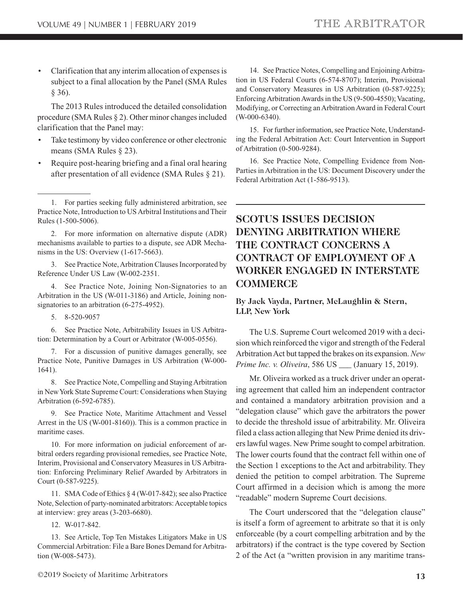<span id="page-12-0"></span>• Clarification that any interim allocation of expenses is subject to a final allocation by the Panel (SMA Rules § 36).

The 2013 Rules introduced the detailed consolidation procedure (SMA Rules § 2). Other minor changes included clarification that the Panel may:

- Take testimony by video conference or other electronic means (SMA Rules § 23).
- Require post-hearing briefing and a final oral hearing after presentation of all evidence (SMA Rules § 21).

2. For more information on alternative dispute (ADR) mechanisms available to parties to a dispute, see ADR Mechanisms in the US: Overview (1-617-5663).

3. See Practice Note, Arbitration Clauses Incorporated by Reference Under US Law (W-002-2351.

4. See Practice Note, Joining Non-Signatories to an Arbitration in the US (W-011-3186) and Article, Joining nonsignatories to an arbitration (6-275-4952).

5. 8-520-9057

6. See Practice Note, Arbitrability Issues in US Arbitration: Determination by a Court or Arbitrator (W-005-0556).

7. For a discussion of punitive damages generally, see Practice Note, Punitive Damages in US Arbitration (W-000- 1641).

8. See Practice Note, Compelling and Staying Arbitration in New York State Supreme Court: Considerations when Staying Arbitration (6-592-6785).

9. See Practice Note, Maritime Attachment and Vessel Arrest in the US (W-001-8160)). This is a common practice in maritime cases.

10. For more information on judicial enforcement of arbitral orders regarding provisional remedies, see Practice Note, Interim, Provisional and Conservatory Measures in US Arbitration: Enforcing Preliminary Relief Awarded by Arbitrators in Court (0-587-9225).

11. SMA Code of Ethics § 4 (W-017-842); see also Practice Note, Selection of party-nominated arbitrators: Acceptable topics at interview: grey areas (3-203-6680).

12. W-017-842.

13. See Article, Top Ten Mistakes Litigators Make in US Commercial Arbitration: File a Bare Bones Demand for Arbitration (W-008-5473).

14. See Practice Notes, Compelling and Enjoining Arbitration in US Federal Courts (6-574-8707); Interim, Provisional and Conservatory Measures in US Arbitration (0-587-9225); Enforcing Arbitration Awards in the US (9-500-4550); Vacating, Modifying, or Correcting an Arbitration Award in Federal Court (W-000-6340).

15. For further information, see Practice Note, Understanding the Federal Arbitration Act: Court Intervention in Support of Arbitration (0-500-9284).

16. See Practice Note, Compelling Evidence from Non-Parties in Arbitration in the US: Document Discovery under the Federal Arbitration Act (1-586-9513).

# **SCOTUS ISSUES DECISION DENYING ARBITRATION WHERE THE CONTRACT CONCERNS A CONTRACT OF EMPLOYMENT OF A WORKER ENGAGED IN INTERSTATE COMMERCE**

### **By Jack Vayda, Partner, McLaughlin & Stern, LLP, New York**

The U.S. Supreme Court welcomed 2019 with a decision which reinforced the vigor and strength of the Federal Arbitration Act but tapped the brakes on its expansion. *New Prime Inc. v. Oliveira*, 586 US \_\_\_ (January 15, 2019).

Mr. Oliveira worked as a truck driver under an operating agreement that called him an independent contractor and contained a mandatory arbitration provision and a "delegation clause" which gave the arbitrators the power to decide the threshold issue of arbitrability. Mr. Oliveira filed a class action alleging that New Prime denied its drivers lawful wages. New Prime sought to compel arbitration. The lower courts found that the contract fell within one of the Section 1 exceptions to the Act and arbitrability. They denied the petition to compel arbitration. The Supreme Court affirmed in a decision which is among the more "readable" modern Supreme Court decisions.

The Court underscored that the "delegation clause" is itself a form of agreement to arbitrate so that it is only enforceable (by a court compelling arbitration and by the arbitrators) if the contract is the type covered by Section 2 of the Act (a "written provision in any maritime trans-

<sup>1.</sup> For parties seeking fully administered arbitration, see Practice Note, Introduction to US Arbitral Institutions and Their Rules (1-500-5006).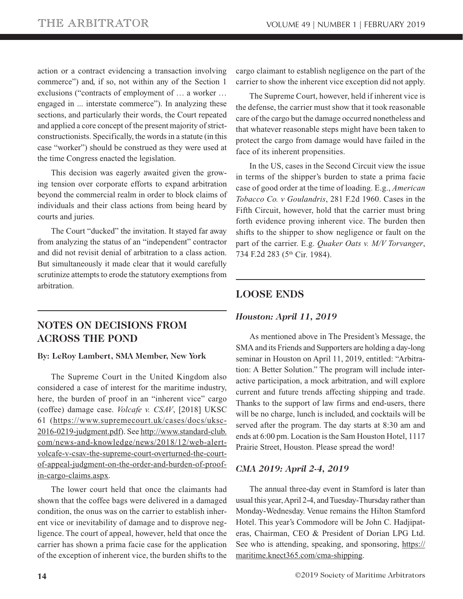<span id="page-13-0"></span>action or a contract evidencing a transaction involving commerce") and, if so, not within any of the Section 1 exclusions ("contracts of employment of … a worker … engaged in ... interstate commerce"). In analyzing these sections, and particularly their words, the Court repeated and applied a core concept of the present majority of strictconstructionists. Specifically, the words in a statute (in this case "worker") should be construed as they were used at the time Congress enacted the legislation.

This decision was eagerly awaited given the growing tension over corporate efforts to expand arbitration beyond the commercial realm in order to block claims of individuals and their class actions from being heard by courts and juries.

The Court "ducked" the invitation. It stayed far away from analyzing the status of an "independent" contractor and did not revisit denial of arbitration to a class action. But simultaneously it made clear that it would carefully scrutinize attempts to erode the statutory exemptions from arbitration.

# **NOTES ON DECISIONS FROM ACROSS THE POND**

#### **By: LeRoy Lambert, SMA Member, New York**

The Supreme Court in the United Kingdom also considered a case of interest for the maritime industry, here, the burden of proof in an "inherent vice" cargo (coffee) damage case. *Volcafe v. CSAV*, [2018] UKSC [61 \(https://www.supremecourt.uk/cases/docs/uksc-](https://www.supremecourt.uk/cases/docs/uksc-2016-0219-judgment.pdf)2016-0219-judgment.pdf). See http://www.standard-club. [com/news-and-knowledge/news/2018/12/web-alert](http://www.standard-club.com/news-and-knowledge/news/2018/12/web-alert-volcafe-v-csav-the-supreme-court-overturned-the-court-of-appeal-judgment-on-the-order-and-burden-of-proof-in-cargo-claims.aspx)volcafe-v-csav-the-supreme-court-overturned-the-courtof-appeal-judgment-on-the-order-and-burden-of-proofin-cargo-claims.aspx.

The lower court held that once the claimants had shown that the coffee bags were delivered in a damaged condition, the onus was on the carrier to establish inherent vice or inevitability of damage and to disprove negligence. The court of appeal, however, held that once the carrier has shown a prima facie case for the application of the exception of inherent vice, the burden shifts to the

cargo claimant to establish negligence on the part of the carrier to show the inherent vice exception did not apply.

The Supreme Court, however, held if inherent vice is the defense, the carrier must show that it took reasonable care of the cargo but the damage occurred nonetheless and that whatever reasonable steps might have been taken to protect the cargo from damage would have failed in the face of its inherent propensities.

In the US, cases in the Second Circuit view the issue in terms of the shipper's burden to state a prima facie case of good order at the time of loading. E.g., *American Tobacco Co. v Goulandris*, 281 F.2d 1960. Cases in the Fifth Circuit, however, hold that the carrier must bring forth evidence proving inherent vice. The burden then shifts to the shipper to show negligence or fault on the part of the carrier. E.g. *Quaker Oats v. M/V Torvanger*, 734 F.2d 283 (5th Cir. 1984).

## **LOOSE ENDS**

## *Houston: April 11, 2019*

As mentioned above in The President's Message, the SMA and its Friends and Supporters are holding a day-long seminar in Houston on April 11, 2019, entitled: "Arbitration: A Better Solution." The program will include interactive participation, a mock arbitration, and will explore current and future trends affecting shipping and trade. Thanks to the support of law firms and end-users, there will be no charge, lunch is included, and cocktails will be served after the program. The day starts at 8:30 am and ends at 6:00 pm. Location is the Sam Houston Hotel, 1117 Prairie Street, Houston. Please spread the word!

## *CMA 2019: April 2-4, 2019*

The annual three-day event in Stamford is later than usual this year, April 2-4, and Tuesday-Thursday rather than Monday-Wednesday. Venue remains the Hilton Stamford Hotel. This year's Commodore will be John C. Hadjipateras, Chairman, CEO & President of Dorian LPG Ltd. [See who is attending, speaking, and sponsoring, https://](https://maritime.knect365.com/cma-shipping) maritime.knect365.com/cma-shipping.